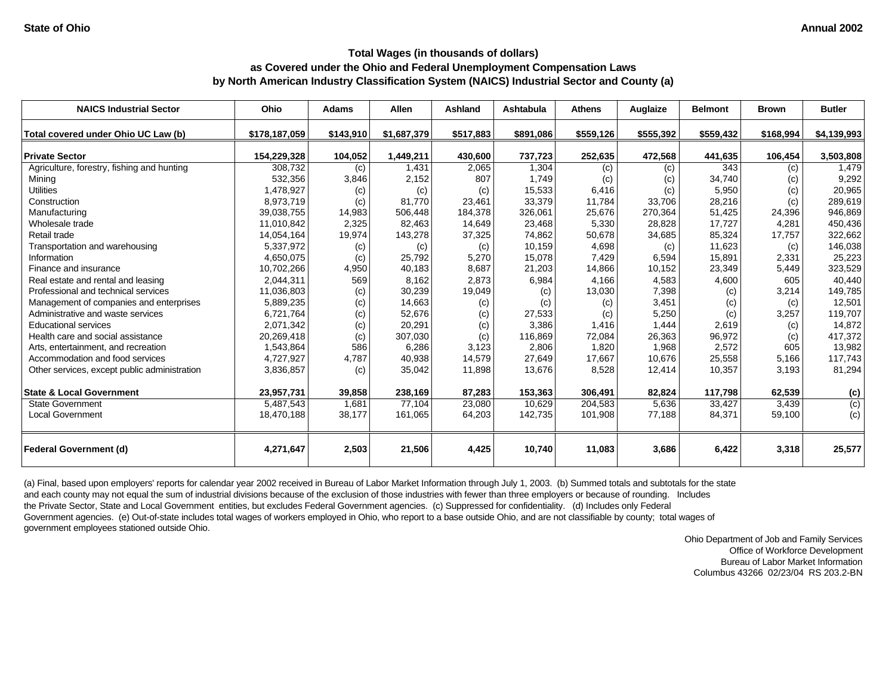| <b>NAICS Industrial Sector</b>               | <b>Ohio</b>   | <b>Adams</b> | Allen       | Ashland    | Ashtabula     | <b>Athens</b> | Auglaize  | <b>Belmont</b> | <b>Brown</b> | <b>Butler</b> |
|----------------------------------------------|---------------|--------------|-------------|------------|---------------|---------------|-----------|----------------|--------------|---------------|
| Total covered under Ohio UC Law (b)          | \$178,187,059 | \$143,910    | \$1,687,379 | \$517,883  | \$891,086     | \$559,126     | \$555,392 | \$559,432      | \$168,994    | \$4,139,993   |
| <b>Private Sector</b>                        | 154,229,328   | 104,052      | 1,449,211   | 430,600    | 737,723       | 252,635       | 472,568   | 441,635        | 106,454      | 3,503,808     |
| Agriculture, forestry, fishing and hunting   | 308,732       | (c)          | 1,431       | 2,065      | 1,304         | (c)           | (c)       | 343            | (c)          | 1,479         |
| Minina                                       | 532,356       | 3,846        | 2,152       | 807        | 1.749         | (c)           | (c)       | 34,740         | (c)          | 9,292         |
| <b>Utilities</b>                             | 1,478,927     | (c)          | (c)         | (c)        | 15,533        | 6,416         | (c)       | 5,950          | (c)          | 20,965        |
| Construction                                 | 8,973,719     | (c)          | 81,770      | 23,461     | 33,379        | 11,784        | 33,706    | 28,216         | (c)          | 289,619       |
| Manufacturing                                | 39,038,755    | 14,983       | 506,448     | 184,378    | 326,061       | 25,676        | 270,364   | 51,425         | 24,396       | 946,869       |
| Wholesale trade                              | 11,010,842    | 2,325        | 82,463      | 14,649     | 23,468        | 5,330         | 28,828    | 17,727         | 4,281        | 450,436       |
| Retail trade                                 | 14,054,164    | 19,974       | 143,278     | 37,325     | 74,862        | 50,678        | 34,685    | 85,324         | 17,757       | 322,662       |
| Transportation and warehousing               | 5,337,972     | (c)          | (c)         | (c)        | 10,159        | 4,698         | (c)       | 11,623         | (c)          | 146,038       |
| Information                                  | 4,650,075     | (c)          | 25,792      | 5,270      | 15.078        | 7,429         | 6,594     | 15,891         | 2,331        | 25,223        |
| Finance and insurance                        | 10,702,266    | 4,950        | 40,183      | 8,687      | 21,203        | 14,866        | 10,152    | 23,349         | 5,449        | 323,529       |
| Real estate and rental and leasing           | 2,044,311     | 569          | 8,162       | 2,873      | 6,984         | 4,166         | 4,583     | 4,600          | 605          | 40,440        |
| Professional and technical services          | 11,036,803    |              | 30,239      | 19,049     |               | 13,030        | 7,398     |                | 3,214        | 149,785       |
| Management of companies and enterprises      | 5,889,235     | (c)          | 14,663      |            | (c)           |               | 3,451     | (c)<br>(c)     |              | 12,501        |
| Administrative and waste services            | 6,721,764     | (c)<br>(c)   | 52,676      | (c)<br>(c) | (c)<br>27,533 | (c)<br>(c)    | 5,250     | (c)            | (c)<br>3,257 | 119,707       |
| <b>Educational services</b>                  | 2,071,342     |              | 20,291      |            | 3.386         | 1,416         | 1,444     | 2,619          |              | 14,872        |
| Health care and social assistance            | 20,269,418    | (c)<br>(c)   | 307,030     | (c)<br>(c) | 116.869       | 72,084        | 26,363    | 96,972         | (c)<br>(c)   | 417,372       |
| Arts, entertainment, and recreation          | 1,543,864     | 586          | 6,286       | 3,123      | 2.806         | 1,820         | 1,968     | 2,572          | 605          | 13,982        |
| Accommodation and food services              | 4,727,927     | 4,787        | 40,938      | 14,579     | 27,649        | 17,667        | 10,676    | 25,558         | 5,166        | 117,743       |
| Other services, except public administration | 3,836,857     |              | 35,042      | 11,898     | 13,676        | 8,528         | 12,414    | 10,357         | 3,193        | 81,294        |
|                                              |               | (c)          |             |            |               |               |           |                |              |               |
| <b>State &amp; Local Government</b>          | 23,957,731    | 39,858       | 238,169     | 87,283     | 153,363       | 306,491       | 82,824    | 117,798        | 62,539       | (c)           |
| <b>State Government</b>                      | 5,487,543     | 1,681        | 77,104      | 23,080     | 10.629        | 204,583       | 5,636     | 33,427         | 3,439        | (c)           |
| <b>Local Government</b>                      | 18,470,188    | 38,177       | 161,065     | 64,203     | 142,735       | 101,908       | 77,188    | 84,371         | 59,100       | (c)           |
| <b>Federal Government (d)</b>                | 4,271,647     | 2,503        | 21,506      | 4,425      | 10,740        | 11,083        | 3,686     | 6,422          | 3,318        | 25,577        |

(a) Final, based upon employers' reports for calendar year 2002 received in Bureau of Labor Market Information through July 1, 2003. (b) Summed totals and subtotals for the state and each county may not equal the sum of industrial divisions because of the exclusion of those industries with fewer than three employers or because of rounding. Includes the Private Sector, State and Local Government entities, but excludes Federal Government agencies. (c) Suppressed for confidentiality. (d) Includes only Federal Government agencies. (e) Out-of-state includes total wages of workers employed in Ohio, who report to a base outside Ohio, and are not classifiable by county; total wages of government employees stationed outside Ohio.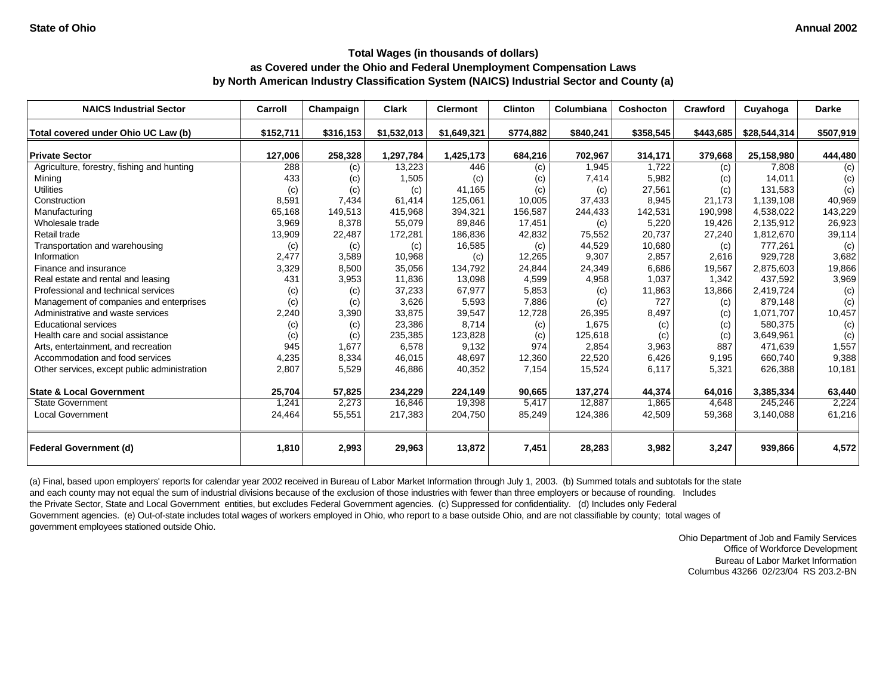| <b>NAICS Industrial Sector</b>               | Carroll   | Champaign | Clark       | <b>Clermont</b> | <b>Clinton</b> | Columbiana | Coshocton | Crawford  | Cuyahoga     | Darke     |
|----------------------------------------------|-----------|-----------|-------------|-----------------|----------------|------------|-----------|-----------|--------------|-----------|
| Total covered under Ohio UC Law (b)          | \$152,711 | \$316,153 | \$1,532,013 | \$1,649,321     | \$774,882      | \$840,241  | \$358,545 | \$443,685 | \$28,544,314 | \$507,919 |
| <b>Private Sector</b>                        | 127,006   | 258,328   | 1,297,784   | 1,425,173       | 684,216        | 702,967    | 314,171   | 379,668   | 25,158,980   | 444,480   |
| Agriculture, forestry, fishing and hunting   | 288       | (c)       | 13,223      | 446             | (c)            | 1,945      | 1,722     | (c)       | 7,808        | (c)       |
| Mining                                       | 433       | (c)       | 1,505       | (c)             | (c)            | 7,414      | 5,982     | (c)       | 14,011       | (c)       |
| <b>Utilities</b>                             | (c)       | (c)       | (c)         | 41.165          | (c)            | (c)        | 27,561    | (c)       | 131.583      | (c)       |
| Construction                                 | 8,591     | 7,434     | 61,414      | 125,061         | 10,005         | 37,433     | 8,945     | 21,173    | 1,139,108    | 40,969    |
| Manufacturing                                | 65,168    | 149,513   | 415,968     | 394,321         | 156,587        | 244,433    | 142,531   | 190,998   | 4,538,022    | 143,229   |
| Wholesale trade                              | 3,969     | 8,378     | 55,079      | 89,846          | 17,451         | (c)        | 5,220     | 19,426    | 2,135,912    | 26,923    |
| Retail trade                                 | 13,909    | 22,487    | 172,281     | 186,836         | 42,832         | 75,552     | 20,737    | 27,240    | 1,812,670    | 39,114    |
| Transportation and warehousing               | (c)       | (c)       | (c)         | 16,585          | (c)            | 44,529     | 10,680    | (c)       | 777,261      | (c)       |
| Information                                  | 2,477     | 3,589     | 10,968      | (c)             | 12,265         | 9,307      | 2,857     | 2,616     | 929.728      | 3,682     |
| Finance and insurance                        | 3,329     | 8,500     | 35,056      | 134,792         | 24,844         | 24,349     | 6,686     | 19,567    | 2,875,603    | 19,866    |
| Real estate and rental and leasing           | 431       | 3,953     | 11,836      | 13,098          | 4,599          | 4,958      | 1,037     | 1,342     | 437,592      | 3,969     |
| Professional and technical services          | (c)       | (c)       | 37,233      | 67,977          | 5,853          | (c)        | 11,863    | 13,866    | 2,419,724    | (c)       |
| Management of companies and enterprises      | (c)       | (c)       | 3,626       | 5,593           | 7,886          | (c)        | 727       | (c)       | 879,148      | (c)       |
| Administrative and waste services            | 2,240     | 3,390     | 33,875      | 39,547          | 12,728         | 26,395     | 8,497     | (c)       | 1,071,707    | 10,457    |
| <b>Educational services</b>                  | (c)       | (c)       | 23,386      | 8.714           | (c)            | 1,675      | (c)       | (c)       | 580,375      | (c)       |
| Health care and social assistance            | (c)       | (c)       | 235,385     | 123,828         | (c)            | 125,618    | (c)       | (c)       | 3,649,961    | (c)       |
| Arts, entertainment, and recreation          | 945       | 1,677     | 6,578       | 9,132           | 974            | 2,854      | 3,963     | 887       | 471,639      | 1,557     |
| Accommodation and food services              | 4,235     | 8,334     | 46,015      | 48,697          | 12,360         | 22,520     | 6,426     | 9,195     | 660,740      | 9,388     |
| Other services, except public administration | 2,807     | 5,529     | 46,886      | 40,352          | 7,154          | 15,524     | 6,117     | 5,321     | 626,388      | 10,181    |
| <b>State &amp; Local Government</b>          | 25,704    | 57,825    | 234,229     | 224,149         | 90,665         | 137,274    | 44,374    | 64,016    | 3,385,334    | 63,440    |
| <b>State Government</b>                      | 1,241     | 2,273     | 16,846      | 19,398          | 5,417          | 12,887     | 1,865     | 4,648     | 245,246      | 2,224     |
| <b>Local Government</b>                      | 24,464    | 55,551    | 217,383     | 204,750         | 85,249         | 124,386    | 42,509    | 59,368    | 3,140,088    | 61,216    |
| <b>Federal Government (d)</b>                | 1,810     | 2,993     | 29,963      | 13,872          | 7,451          | 28,283     | 3,982     | 3,247     | 939,866      | 4,572     |

(a) Final, based upon employers' reports for calendar year 2002 received in Bureau of Labor Market Information through July 1, 2003. (b) Summed totals and subtotals for the state and each county may not equal the sum of industrial divisions because of the exclusion of those industries with fewer than three employers or because of rounding. Includes the Private Sector, State and Local Government entities, but excludes Federal Government agencies. (c) Suppressed for confidentiality. (d) Includes only Federal Government agencies. (e) Out-of-state includes total wages of workers employed in Ohio, who report to a base outside Ohio, and are not classifiable by county; total wages of government employees stationed outside Ohio.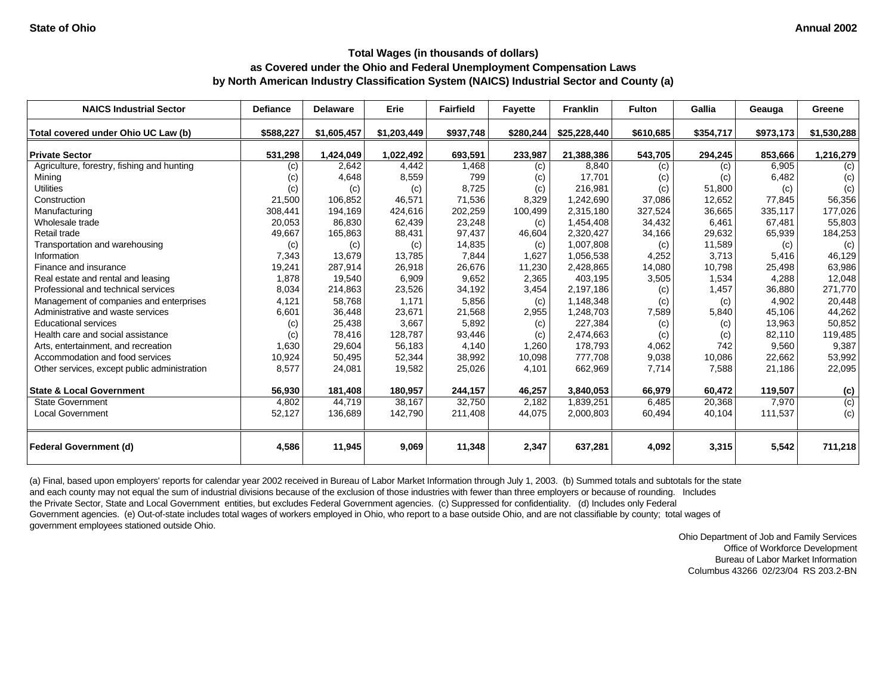| <b>NAICS Industrial Sector</b>               | <b>Defiance</b> | <b>Delaware</b> | Erie        | <b>Fairfield</b> | <b>Favette</b> | <b>Franklin</b> | <b>Fulton</b> | Gallia    | Geauga    | Greene           |
|----------------------------------------------|-----------------|-----------------|-------------|------------------|----------------|-----------------|---------------|-----------|-----------|------------------|
| Total covered under Ohio UC Law (b)          | \$588,227       | \$1,605,457     | \$1,203,449 | \$937,748        | \$280,244      | \$25,228,440    | \$610,685     | \$354,717 | \$973,173 | \$1,530,288      |
| <b>Private Sector</b>                        | 531,298         | 1,424,049       | 1,022,492   | 693,591          | 233,987        | 21,388,386      | 543,705       | 294,245   | 853,666   | 1,216,279        |
| Agriculture, forestry, fishing and hunting   | (c)             | 2,642           | 4,442       | 1,468            | (c)            | 8,840           | (c)           | (c)       | 6,905     | (c)              |
| Mining                                       | (c)             | 4,648           | 8,559       | 799              | (c)            | 17,701          | (c)           | (c)       | 6,482     | (c)              |
| <b>Utilities</b>                             | (c)             | (c)             | (c)         | 8,725            | (c)            | 216,981         | (c)           | 51,800    | (c)       | (c)              |
| Construction                                 | 21,500          | 106,852         | 46,571      | 71,536           | 8,329          | 1,242,690       | 37,086        | 12,652    | 77.845    | 56,356           |
| Manufacturing                                | 308,441         | 194,169         | 424,616     | 202,259          | 100,499        | 2,315,180       | 327,524       | 36,665    | 335,117   | 177,026          |
| Wholesale trade                              | 20,053          | 86,830          | 62,439      | 23,248           | (c)            | 1,454,408       | 34,432        | 6,461     | 67,481    | 55,803           |
| Retail trade                                 | 49,667          | 165,863         | 88,431      | 97,437           | 46,604         | 2,320,427       | 34,166        | 29,632    | 65,939    | 184,253          |
| Transportation and warehousing               | (c)             | (c)             | (c)         | 14,835           | (c)            | 1,007,808       | (c)           | 11,589    | (c)       | (c)              |
| Information                                  | 7,343           | 13,679          | 13,785      | 7,844            | 1.627          | 1,056,538       | 4,252         | 3,713     | 5,416     | 46,129           |
| Finance and insurance                        | 19,241          | 287,914         | 26,918      | 26,676           | 11,230         | 2,428,865       | 14,080        | 10,798    | 25,498    | 63,986           |
| Real estate and rental and leasing           | 1,878           | 19,540          | 6,909       | 9,652            | 2,365          | 403,195         | 3,505         | 1,534     | 4,288     | 12,048           |
| Professional and technical services          | 8,034           | 214,863         | 23,526      | 34,192           | 3,454          | 2,197,186       | (c)           | 1,457     | 36,880    | 271,770          |
| Management of companies and enterprises      | 4,121           | 58,768          | 1,171       | 5,856            | (c)            | 1,148,348       | (c)           | (c)       | 4,902     | 20,448           |
| Administrative and waste services            | 6,601           | 36,448          | 23,671      | 21,568           | 2,955          | 1,248,703       | 7,589         | 5,840     | 45,106    | 44,262           |
| <b>Educational services</b>                  | (c)             | 25,438          | 3,667       | 5,892            | (c)            | 227,384         | (c)           | (c)       | 13.963    | 50,852           |
| Health care and social assistance            | (c)             | 78,416          | 128,787     | 93,446           | (c)            | 2,474,663       | (c)           | (c)       | 82,110    | 119,485          |
| Arts, entertainment, and recreation          | 1,630           | 29,604          | 56,183      | 4.140            | 1.260          | 178,793         | 4,062         | 742       | 9.560     | 9,387            |
| Accommodation and food services              | 10,924          | 50,495          | 52,344      | 38,992           | 10,098         | 777,708         | 9,038         | 10,086    | 22,662    | 53,992           |
| Other services, except public administration | 8,577           | 24,081          | 19,582      | 25,026           | 4,101          | 662,969         | 7,714         | 7,588     | 21,186    | 22,095           |
| <b>State &amp; Local Government</b>          | 56,930          | 181,408         | 180,957     | 244,157          | 46,257         | 3,840,053       | 66,979        | 60,472    | 119,507   | (c)              |
| <b>State Government</b>                      | 4,802           | 44,719          | 38,167      | 32,750           | 2,182          | 1,839,251       | 6,485         | 20,368    | 7,970     | $\overline{(c)}$ |
| <b>Local Government</b>                      | 52,127          | 136,689         | 142,790     | 211,408          | 44,075         | 2,000,803       | 60,494        | 40,104    | 111,537   | (c)              |
| <b>Federal Government (d)</b>                | 4,586           | 11,945          | 9,069       | 11,348           | 2,347          | 637,281         | 4,092         | 3,315     | 5,542     | 711,218          |

(a) Final, based upon employers' reports for calendar year 2002 received in Bureau of Labor Market Information through July 1, 2003. (b) Summed totals and subtotals for the state and each county may not equal the sum of industrial divisions because of the exclusion of those industries with fewer than three employers or because of rounding. Includes the Private Sector, State and Local Government entities, but excludes Federal Government agencies. (c) Suppressed for confidentiality. (d) Includes only Federal Government agencies. (e) Out-of-state includes total wages of workers employed in Ohio, who report to a base outside Ohio, and are not classifiable by county; total wages of government employees stationed outside Ohio.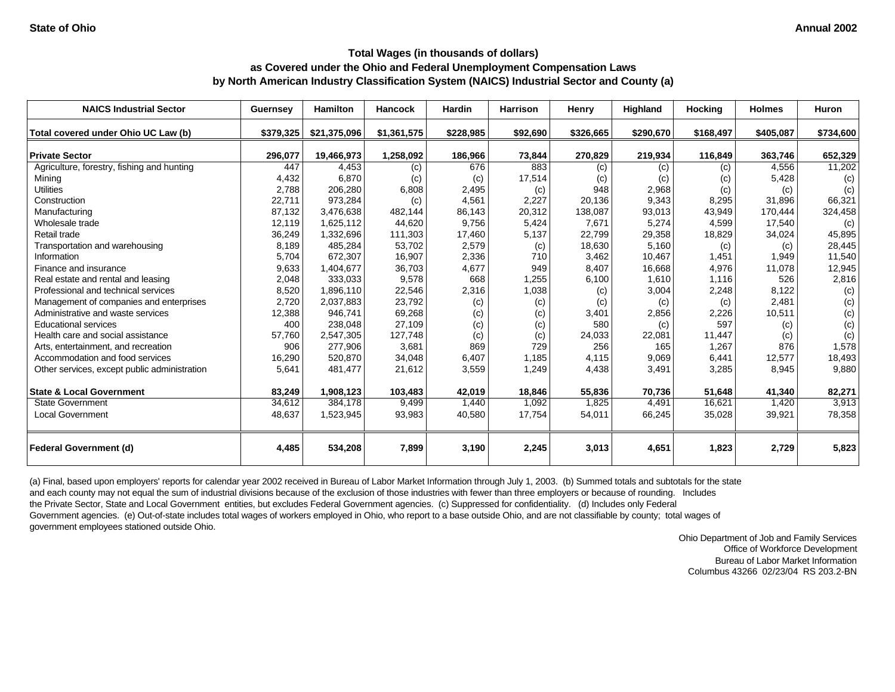| <b>NAICS Industrial Sector</b>               | <b>Guernsey</b> | <b>Hamilton</b> | Hancock     | <b>Hardin</b> | <b>Harrison</b> | Henry     | Highland  | <b>Hocking</b> | <b>Holmes</b> | Huron     |
|----------------------------------------------|-----------------|-----------------|-------------|---------------|-----------------|-----------|-----------|----------------|---------------|-----------|
| Total covered under Ohio UC Law (b)          | \$379,325       | \$21,375,096    | \$1,361,575 | \$228,985     | \$92,690        | \$326,665 | \$290,670 | \$168,497      | \$405,087     | \$734,600 |
| <b>Private Sector</b>                        | 296,077         | 19,466,973      | 1,258,092   | 186,966       | 73,844          | 270,829   | 219,934   | 116,849        | 363,746       | 652,329   |
| Agriculture, forestry, fishing and hunting   | 447             | 4,453           | (c)         | 676           | 883             | (c)       | (c)       | (c)            | 4,556         | 11,202    |
| Mining                                       | 4,432           | 6,870           | (c)         | (c)           | 17,514          | (c)       | (c)       | (c)            | 5,428         | (c)       |
| <b>Utilities</b>                             | 2,788           | 206,280         | 6,808       | 2,495         | (c)             | 948       | 2,968     | (c)            | (c)           | (c)       |
| Construction                                 | 22,711          | 973,284         | (c)         | 4,561         | 2,227           | 20,136    | 9,343     | 8,295          | 31,896        | 66,321    |
| Manufacturing                                | 87,132          | 3,476,638       | 482,144     | 86,143        | 20,312          | 138,087   | 93,013    | 43,949         | 170,444       | 324,458   |
| Wholesale trade                              | 12,119          | 1,625,112       | 44,620      | 9,756         | 5,424           | 7,671     | 5,274     | 4,599          | 17,540        | (c)       |
| Retail trade                                 | 36,249          | 1,332,696       | 111,303     | 17,460        | 5,137           | 22,799    | 29,358    | 18,829         | 34,024        | 45,895    |
| Transportation and warehousing               | 8.189           | 485,284         | 53,702      | 2,579         | (c)             | 18,630    | 5,160     | (c)            | (c)           | 28,445    |
| Information                                  | 5,704           | 672,307         | 16,907      | 2,336         | 710             | 3,462     | 10,467    | 1,451          | 1,949         | 11,540    |
| Finance and insurance                        | 9,633           | 1,404,677       | 36,703      | 4,677         | 949             | 8,407     | 16,668    | 4,976          | 11,078        | 12,945    |
| Real estate and rental and leasing           | 2,048           | 333,033         | 9,578       | 668           | 1,255           | 6,100     | 1,610     | 1,116          | 526           | 2,816     |
| Professional and technical services          | 8,520           | 1,896,110       | 22,546      | 2,316         | 1,038           | (c)       | 3,004     | 2,248          | 8,122         | (c)       |
| Management of companies and enterprises      | 2,720           | 2,037,883       | 23,792      | (c)           | (c)             | (c)       | (c)       | (c)            | 2,481         | (c)       |
| Administrative and waste services            | 12,388          | 946,741         | 69,268      | (c)           | (c)             | 3,401     | 2,856     | 2,226          | 10,511        | (c)       |
| <b>Educational services</b>                  | 400             | 238,048         | 27,109      | (c)           | (c)             | 580       | (c)       | 597            | (c)           | (c)       |
| Health care and social assistance            | 57,760          | 2,547,305       | 127,748     | (c)           | (c)             | 24,033    | 22,081    | 11,447         | (c)           | (c)       |
| Arts, entertainment, and recreation          | 906             | 277,906         | 3,681       | 869           | 729             | 256       | 165       | 1,267          | 876           | 1,578     |
| Accommodation and food services              | 16,290          | 520,870         | 34,048      | 6,407         | 1,185           | 4,115     | 9,069     | 6,441          | 12,577        | 18,493    |
| Other services, except public administration | 5,641           | 481,477         | 21,612      | 3,559         | 1,249           | 4,438     | 3,491     | 3,285          | 8,945         | 9,880     |
| <b>State &amp; Local Government</b>          | 83,249          | 1,908,123       | 103,483     | 42,019        | 18,846          | 55,836    | 70,736    | 51,648         | 41,340        | 82,271    |
| <b>State Government</b>                      | 34,612          | 384,178         | 9,499       | 1,440         | 1,092           | 1,825     | 4,491     | 16,621         | 1,420         | 3,913     |
| <b>Local Government</b>                      | 48,637          | 1,523,945       | 93,983      | 40,580        | 17,754          | 54,011    | 66,245    | 35,028         | 39,921        | 78,358    |
| <b>Federal Government (d)</b>                | 4,485           | 534,208         | 7,899       | 3,190         | 2,245           | 3,013     | 4,651     | 1,823          | 2,729         | 5,823     |

(a) Final, based upon employers' reports for calendar year 2002 received in Bureau of Labor Market Information through July 1, 2003. (b) Summed totals and subtotals for the state and each county may not equal the sum of industrial divisions because of the exclusion of those industries with fewer than three employers or because of rounding. Includes the Private Sector, State and Local Government entities, but excludes Federal Government agencies. (c) Suppressed for confidentiality. (d) Includes only Federal Government agencies. (e) Out-of-state includes total wages of workers employed in Ohio, who report to a base outside Ohio, and are not classifiable by county; total wages of government employees stationed outside Ohio.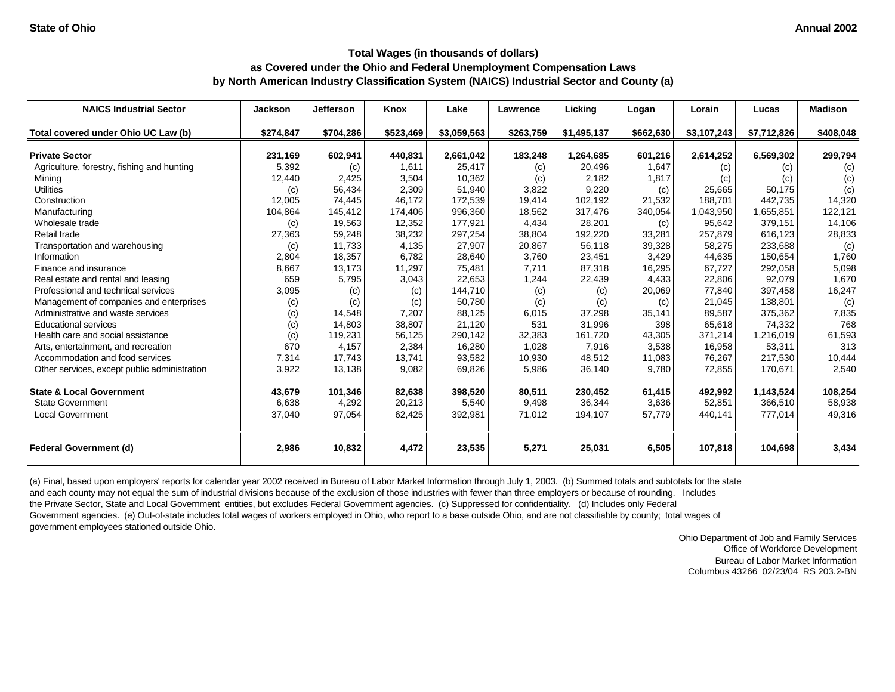| <b>NAICS Industrial Sector</b>               | <b>Jackson</b> | <b>Jefferson</b> | Knox      | Lake        | Lawrence  | Licking     | Logan     | Lorain      | Lucas       | <b>Madison</b> |
|----------------------------------------------|----------------|------------------|-----------|-------------|-----------|-------------|-----------|-------------|-------------|----------------|
| Total covered under Ohio UC Law (b)          | \$274,847      | \$704,286        | \$523,469 | \$3,059,563 | \$263,759 | \$1,495,137 | \$662,630 | \$3,107,243 | \$7,712,826 | \$408,048      |
| <b>Private Sector</b>                        | 231,169        | 602,941          | 440,831   | 2,661,042   | 183,248   | 1,264,685   | 601,216   | 2,614,252   | 6,569,302   | 299,794        |
| Agriculture, forestry, fishing and hunting   | 5,392          | (c)              | 1,611     | 25,417      | (c)       | 20,496      | 1,647     | (c)         | (c)         | (c)            |
| Mining                                       | 12,440         | 2,425            | 3,504     | 10,362      | (c)       | 2,182       | 1,817     | (c)         | (c)         | (c)            |
| <b>Utilities</b>                             | (c)            | 56,434           | 2,309     | 51,940      | 3,822     | 9,220       | (c)       | 25.665      | 50,175      | (c)            |
| Construction                                 | 12,005         | 74,445           | 46,172    | 172,539     | 19,414    | 102,192     | 21,532    | 188.701     | 442.735     | 14,320         |
| Manufacturing                                | 104,864        | 145,412          | 174,406   | 996,360     | 18,562    | 317,476     | 340,054   | 1,043,950   | 1,655,851   | 122,121        |
| Wholesale trade                              | (c)            | 19,563           | 12,352    | 177,921     | 4,434     | 28,201      | (c)       | 95,642      | 379,151     | 14,106         |
| Retail trade                                 | 27,363         | 59,248           | 38,232    | 297,254     | 38,804    | 192,220     | 33,281    | 257,879     | 616,123     | 28,833         |
| Transportation and warehousing               | (c)            | 11,733           | 4,135     | 27,907      | 20,867    | 56,118      | 39,328    | 58,275      | 233,688     | (c)            |
| Information                                  | 2,804          | 18,357           | 6,782     | 28,640      | 3,760     | 23,451      | 3,429     | 44,635      | 150,654     | 1,760          |
| Finance and insurance                        | 8,667          | 13,173           | 11,297    | 75,481      | 7,711     | 87,318      | 16,295    | 67.727      | 292,058     | 5,098          |
| Real estate and rental and leasing           | 659            | 5,795            | 3,043     | 22,653      | 1,244     | 22,439      | 4,433     | 22,806      | 92,079      | 1,670          |
| Professional and technical services          | 3,095          | (c)              | (c)       | 144,710     | (c)       | (c)         | 20,069    | 77,840      | 397,458     | 16,247         |
| Management of companies and enterprises      | (c)            | (c)              | (c)       | 50,780      | (c)       | (c)         | (c)       | 21,045      | 138,801     | (c)            |
| Administrative and waste services            | (c)            | 14,548           | 7,207     | 88,125      | 6,015     | 37,298      | 35,141    | 89,587      | 375,362     | 7,835          |
| <b>Educational services</b>                  | (c)            | 14,803           | 38,807    | 21,120      | 531       | 31,996      | 398       | 65,618      | 74,332      | 768            |
| Health care and social assistance            | (c)            | 119,231          | 56,125    | 290,142     | 32,383    | 161,720     | 43,305    | 371,214     | 1,216,019   | 61,593         |
| Arts, entertainment, and recreation          | 670            | 4,157            | 2,384     | 16,280      | 1,028     | 7,916       | 3,538     | 16,958      | 53,311      | 313            |
| Accommodation and food services              | 7,314          | 17,743           | 13,741    | 93,582      | 10,930    | 48,512      | 11,083    | 76,267      | 217,530     | 10,444         |
| Other services, except public administration | 3,922          | 13,138           | 9,082     | 69,826      | 5,986     | 36,140      | 9,780     | 72,855      | 170,671     | 2,540          |
| <b>State &amp; Local Government</b>          | 43,679         | 101,346          | 82,638    | 398,520     | 80,511    | 230,452     | 61,415    | 492,992     | 1,143,524   | 108,254        |
| <b>State Government</b>                      | 6,638          | 4,292            | 20,213    | 5,540       | 9,498     | 36,344      | 3,636     | 52,851      | 366,510     | 58,938         |
| <b>Local Government</b>                      | 37,040         | 97,054           | 62,425    | 392,981     | 71,012    | 194,107     | 57,779    | 440,141     | 777,014     | 49,316         |
| <b>Federal Government (d)</b>                | 2,986          | 10,832           | 4,472     | 23,535      | 5,271     | 25,031      | 6,505     | 107,818     | 104,698     | 3,434          |

(a) Final, based upon employers' reports for calendar year 2002 received in Bureau of Labor Market Information through July 1, 2003. (b) Summed totals and subtotals for the state and each county may not equal the sum of industrial divisions because of the exclusion of those industries with fewer than three employers or because of rounding. Includes the Private Sector, State and Local Government entities, but excludes Federal Government agencies. (c) Suppressed for confidentiality. (d) Includes only Federal Government agencies. (e) Out-of-state includes total wages of workers employed in Ohio, who report to a base outside Ohio, and are not classifiable by county; total wages of government employees stationed outside Ohio.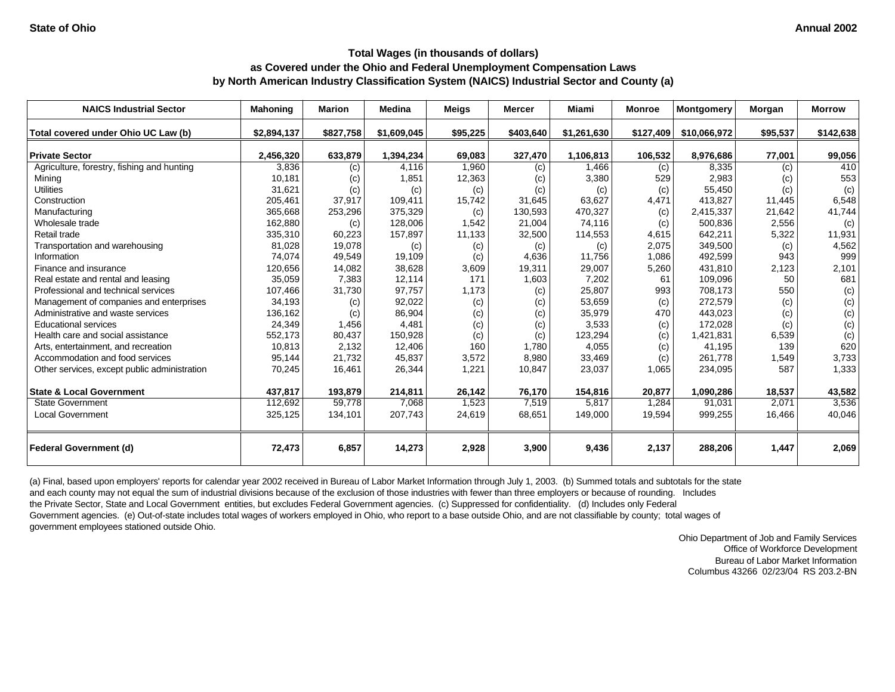| <b>NAICS Industrial Sector</b>               | <b>Mahoning</b> | <b>Marion</b> | <b>Medina</b> | <b>Meigs</b> | Mercer    | Miami       | <b>Monroe</b> | <b>Montgomery</b> | Morgan   | <b>Morrow</b> |
|----------------------------------------------|-----------------|---------------|---------------|--------------|-----------|-------------|---------------|-------------------|----------|---------------|
| Total covered under Ohio UC Law (b)          | \$2,894,137     | \$827,758     | \$1,609,045   | \$95,225     | \$403,640 | \$1,261,630 | \$127,409     | \$10,066,972      | \$95,537 | \$142,638     |
| <b>Private Sector</b>                        | 2,456,320       | 633,879       | 1,394,234     | 69,083       | 327,470   | 1,106,813   | 106,532       | 8,976,686         | 77,001   | 99,056        |
| Agriculture, forestry, fishing and hunting   | 3,836           | (c)           | 4,116         | 1,960        | (c)       | 1,466       | (c)           | 8,335             | (c)      | 410           |
| Mining                                       | 10,181          | (c)           | 1,851         | 12,363       | (c)       | 3,380       | 529           | 2,983             | (c)      | 553           |
| <b>Utilities</b>                             | 31,621          | (c)           | (c)           | (c)          | (c)       | (c)         | (c)           | 55.450            | (c)      | (c)           |
| Construction                                 | 205,461         | 37,917        | 109,411       | 15,742       | 31,645    | 63,627      | 4,471         | 413,827           | 11,445   | 6,548         |
| Manufacturing                                | 365,668         | 253,296       | 375,329       | (c)          | 130,593   | 470,327     | (c)           | 2,415,337         | 21,642   | 41,744        |
| Wholesale trade                              | 162,880         | (c)           | 128,006       | 1,542        | 21,004    | 74,116      | (c)           | 500,836           | 2,556    | (c)           |
| Retail trade                                 | 335,310         | 60,223        | 157,897       | 11,133       | 32,500    | 114,553     | 4,615         | 642,211           | 5,322    | 11,931        |
| Transportation and warehousing               | 81,028          | 19,078        | (c)           | (c)          | (c)       | (c)         | 2,075         | 349.500           | (c)      | 4,562         |
| Information                                  | 74,074          | 49,549        | 19,109        | (c)          | 4.636     | 11,756      | 1,086         | 492,599           | 943      | 999           |
| Finance and insurance                        | 120,656         | 14,082        | 38,628        | 3,609        | 19,311    | 29,007      | 5,260         | 431,810           | 2,123    | 2,101         |
| Real estate and rental and leasing           | 35,059          | 7,383         | 12,114        | 171          | 1,603     | 7,202       | 61            | 109,096           | 50       | 681           |
| Professional and technical services          | 107,466         | 31,730        | 97,757        | 1,173        | (c)       | 25,807      | 993           | 708,173           | 550      | (c)           |
| Management of companies and enterprises      | 34,193          | (c)           | 92,022        | (c)          | (c)       | 53,659      | (c)           | 272,579           | (c)      | (c)           |
| Administrative and waste services            | 136,162         | (c)           | 86,904        | (c)          | (c)       | 35,979      | 470           | 443,023           | (c)      | (c)           |
| <b>Educational services</b>                  | 24,349          | 1,456         | 4,481         | (c)          | (c)       | 3,533       | (c)           | 172,028           | (c)      | (c)           |
| Health care and social assistance            | 552,173         | 80,437        | 150,928       | (c)          | (c)       | 123,294     | (c)           | 1,421,831         | 6,539    | (c)           |
| Arts, entertainment, and recreation          | 10,813          | 2,132         | 12,406        | 160          | 1,780     | 4,055       | (c)           | 41,195            | 139      | 620           |
| Accommodation and food services              | 95,144          | 21,732        | 45,837        | 3,572        | 8,980     | 33,469      | (c)           | 261,778           | 1,549    | 3,733         |
| Other services, except public administration | 70,245          | 16,461        | 26,344        | 1,221        | 10,847    | 23,037      | 1,065         | 234,095           | 587      | 1,333         |
| <b>State &amp; Local Government</b>          | 437,817         | 193,879       | 214,811       | 26,142       | 76,170    | 154,816     | 20,877        | 1,090,286         | 18,537   | 43,582        |
| <b>State Government</b>                      | 112,692         | 59,778        | 7,068         | 1,523        | 7,519     | 5,817       | 1,284         | 91,031            | 2,071    | 3,536         |
| <b>Local Government</b>                      | 325,125         | 134,101       | 207,743       | 24,619       | 68,651    | 149,000     | 19,594        | 999,255           | 16,466   | 40,046        |
| <b>Federal Government (d)</b>                | 72,473          | 6,857         | 14,273        | 2,928        | 3,900     | 9,436       | 2,137         | 288,206           | 1,447    | 2,069         |

(a) Final, based upon employers' reports for calendar year 2002 received in Bureau of Labor Market Information through July 1, 2003. (b) Summed totals and subtotals for the state and each county may not equal the sum of industrial divisions because of the exclusion of those industries with fewer than three employers or because of rounding. Includes the Private Sector, State and Local Government entities, but excludes Federal Government agencies. (c) Suppressed for confidentiality. (d) Includes only Federal Government agencies. (e) Out-of-state includes total wages of workers employed in Ohio, who report to a base outside Ohio, and are not classifiable by county; total wages of government employees stationed outside Ohio.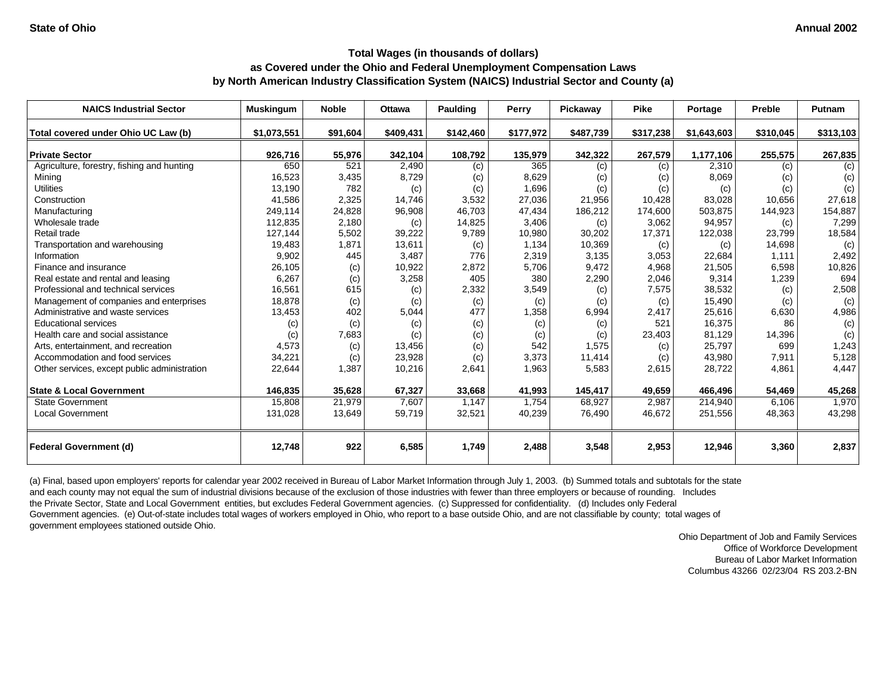| <b>NAICS Industrial Sector</b>               | <b>Muskingum</b> | <b>Noble</b> | <b>Ottawa</b> | <b>Paulding</b> | Perry     | Pickawav  | <b>Pike</b> | Portage     | Preble    | <b>Putnam</b> |
|----------------------------------------------|------------------|--------------|---------------|-----------------|-----------|-----------|-------------|-------------|-----------|---------------|
| Total covered under Ohio UC Law (b)          | \$1,073,551      | \$91,604     | \$409,431     | \$142,460       | \$177,972 | \$487,739 | \$317,238   | \$1,643,603 | \$310,045 | \$313,103     |
| <b>Private Sector</b>                        | 926,716          | 55,976       | 342,104       | 108,792         | 135,979   | 342,322   | 267,579     | 1,177,106   | 255,575   | 267,835       |
| Agriculture, forestry, fishing and hunting   | 650              | 521          | 2,490         | (c)             | 365       | (c)       | (c)         | 2,310       | (c)       | (c)           |
| Mining                                       | 16,523           | 3,435        | 8,729         | (c)             | 8,629     | (c)       | (c)         | 8,069       | (c)       | (c)           |
| <b>Utilities</b>                             | 13,190           | 782          | (c)           | (c)             | 1,696     | (c)       | (c)         | (c)         | (c)       | (c)           |
| Construction                                 | 41,586           | 2,325        | 14,746        | 3,532           | 27,036    | 21,956    | 10,428      | 83,028      | 10.656    | 27,618        |
| Manufacturing                                | 249,114          | 24,828       | 96,908        | 46,703          | 47,434    | 186,212   | 174,600     | 503,875     | 144,923   | 154,887       |
| Wholesale trade                              | 112,835          | 2,180        | (c)           | 14,825          | 3,406     | (c)       | 3,062       | 94,957      | (c)       | 7,299         |
| Retail trade                                 | 127,144          | 5,502        | 39,222        | 9,789           | 10,980    | 30,202    | 17,371      | 122,038     | 23,799    | 18,584        |
| Transportation and warehousing               | 19,483           | 1,871        | 13,611        | (c)             | 1,134     | 10,369    | (c)         | (c)         | 14,698    | (c)           |
| Information                                  | 9,902            | 445          | 3,487         | 776             | 2,319     | 3,135     | 3,053       | 22,684      | 1,111     | 2,492         |
| Finance and insurance                        | 26,105           | (c)          | 10,922        | 2,872           | 5,706     | 9,472     | 4,968       | 21,505      | 6,598     | 10,826        |
| Real estate and rental and leasing           | 6,267            | (c)          | 3,258         | 405             | 380       | 2,290     | 2,046       | 9,314       | 1,239     | 694           |
| Professional and technical services          | 16,561           | 615          | (c)           | 2,332           | 3,549     | (c)       | 7,575       | 38,532      | (c)       | 2,508         |
| Management of companies and enterprises      | 18,878           | (c)          | (c)           | (c)             | (c)       | (c)       | (c)         | 15,490      | (c)       | (c)           |
| Administrative and waste services            | 13,453           | 402          | 5,044         | 477             | 1,358     | 6,994     | 2,417       | 25,616      | 6,630     | 4,986         |
| <b>Educational services</b>                  | (c)              | (c)          | (c)           | (c)             | (c)       | (c)       | 521         | 16,375      | 86        | (c)           |
| Health care and social assistance            | (c)              | 7,683        | (c)           | (c)             | (c)       | (c)       | 23,403      | 81,129      | 14,396    | (c)           |
| Arts, entertainment, and recreation          | 4,573            | (c)          | 13,456        | (c)             | 542       | 1,575     | (c)         | 25,797      | 699       | 1,243         |
| Accommodation and food services              | 34,221           | (c)          | 23,928        | (c)             | 3,373     | 11,414    | (c)         | 43,980      | 7,911     | 5,128         |
| Other services, except public administration | 22,644           | 1,387        | 10,216        | 2,641           | 1,963     | 5,583     | 2,615       | 28,722      | 4,861     | 4,447         |
| <b>State &amp; Local Government</b>          | 146,835          | 35,628       | 67,327        | 33,668          | 41,993    | 145,417   | 49,659      | 466,496     | 54,469    | 45,268        |
| <b>State Government</b>                      | 15,808           | 21,979       | 7,607         | 1,147           | 1,754     | 68,927    | 2,987       | 214,940     | 6,106     | 1,970         |
| <b>Local Government</b>                      | 131,028          | 13,649       | 59,719        | 32,521          | 40,239    | 76,490    | 46,672      | 251,556     | 48,363    | 43,298        |
| <b>Federal Government (d)</b>                | 12,748           | 922          | 6,585         | 1,749           | 2,488     | 3,548     | 2,953       | 12,946      | 3,360     | 2,837         |

(a) Final, based upon employers' reports for calendar year 2002 received in Bureau of Labor Market Information through July 1, 2003. (b) Summed totals and subtotals for the state and each county may not equal the sum of industrial divisions because of the exclusion of those industries with fewer than three employers or because of rounding. Includes the Private Sector, State and Local Government entities, but excludes Federal Government agencies. (c) Suppressed for confidentiality. (d) Includes only Federal Government agencies. (e) Out-of-state includes total wages of workers employed in Ohio, who report to a base outside Ohio, and are not classifiable by county; total wages of government employees stationed outside Ohio.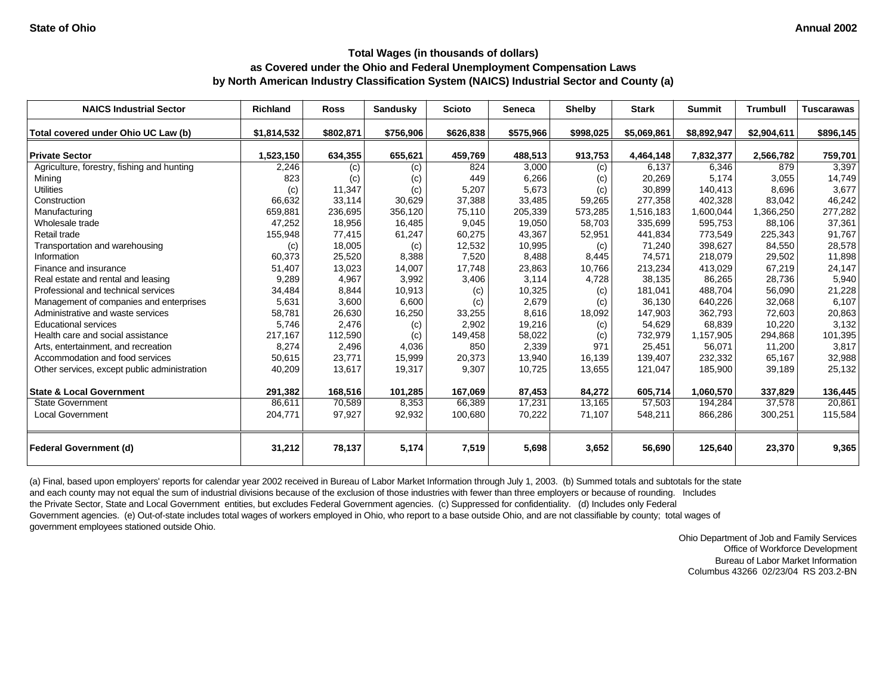| <b>NAICS Industrial Sector</b>               | Richland    | <b>Ross</b> | <b>Sandusky</b> | <b>Scioto</b> | <b>Seneca</b> | <b>Shelby</b> | <b>Stark</b> | <b>Summit</b> | <b>Trumbull</b> | <b>Tuscarawas</b> |
|----------------------------------------------|-------------|-------------|-----------------|---------------|---------------|---------------|--------------|---------------|-----------------|-------------------|
| Total covered under Ohio UC Law (b)          | \$1,814,532 | \$802,871   | \$756,906       | \$626,838     | \$575,966     | \$998,025     | \$5,069,861  | \$8,892,947   | \$2,904,611     | \$896,145         |
| <b>Private Sector</b>                        | 1,523,150   | 634,355     | 655,621         | 459,769       | 488,513       | 913,753       | 4,464,148    | 7,832,377     | 2,566,782       | 759,701           |
| Agriculture, forestry, fishing and hunting   | 2,246       | (c)         | (c)             | 824           | 3,000         | (c)           | 6,137        | 6,346         | 879             | 3,397             |
| Mining                                       | 823         | (c)         | (c)             | 449           | 6,266         | (c)           | 20,269       | 5,174         | 3,055           | 14,749            |
| <b>Utilities</b>                             | (c)         | 11,347      | (c)             | 5,207         | 5,673         | (c)           | 30,899       | 140,413       | 8.696           | 3,677             |
| Construction                                 | 66,632      | 33,114      | 30,629          | 37,388        | 33,485        | 59,265        | 277,358      | 402,328       | 83,042          | 46,242            |
| Manufacturing                                | 659,881     | 236,695     | 356,120         | 75,110        | 205,339       | 573,285       | 1,516,183    | 1,600,044     | 1,366,250       | 277,282           |
| Wholesale trade                              | 47,252      | 18,956      | 16,485          | 9,045         | 19,050        | 58,703        | 335,699      | 595,753       | 88,106          | 37,361            |
| Retail trade                                 | 155,948     | 77,415      | 61,247          | 60,275        | 43,367        | 52,951        | 441,834      | 773,549       | 225,343         | 91,767            |
| Transportation and warehousing               | (c)         | 18,005      | (c)             | 12,532        | 10,995        | (c)           | 71,240       | 398.627       | 84,550          | 28,578            |
| Information                                  | 60,373      | 25,520      | 8,388           | 7,520         | 8,488         | 8,445         | 74,571       | 218,079       | 29,502          | 11,898            |
| Finance and insurance                        | 51,407      | 13,023      | 14,007          | 17,748        | 23,863        | 10,766        | 213,234      | 413,029       | 67,219          | 24,147            |
| Real estate and rental and leasing           | 9,289       | 4,967       | 3,992           | 3,406         | 3,114         | 4,728         | 38,135       | 86,265        | 28,736          | 5,940             |
| Professional and technical services          | 34,484      | 8,844       | 10,913          | (c)           | 10,325        | (c)           | 181,041      | 488.704       | 56,090          | 21,228            |
| Management of companies and enterprises      | 5,631       | 3,600       | 6,600           | (c)           | 2,679         | (c)           | 36,130       | 640,226       | 32,068          | 6,107             |
| Administrative and waste services            | 58,781      | 26,630      | 16,250          | 33,255        | 8,616         | 18,092        | 147,903      | 362,793       | 72,603          | 20,863            |
| <b>Educational services</b>                  | 5,746       | 2,476       | (c)             | 2,902         | 19,216        | (c)           | 54,629       | 68,839        | 10,220          | 3,132             |
| Health care and social assistance            | 217,167     | 112,590     | (c)             | 149,458       | 58,022        | (c)           | 732,979      | 1,157,905     | 294,868         | 101,395           |
| Arts, entertainment, and recreation          | 8,274       | 2,496       | 4,036           | 850           | 2,339         | 971           | 25,451       | 56,071        | 11,200          | 3,817             |
| Accommodation and food services              | 50,615      | 23,771      | 15,999          | 20,373        | 13,940        | 16,139        | 139,407      | 232,332       | 65,167          | 32,988            |
| Other services, except public administration | 40,209      | 13,617      | 19,317          | 9,307         | 10,725        | 13,655        | 121,047      | 185,900       | 39,189          | 25,132            |
| <b>State &amp; Local Government</b>          | 291,382     | 168,516     | 101,285         | 167,069       | 87,453        | 84,272        | 605,714      | 1,060,570     | 337,829         | 136,445           |
| <b>State Government</b>                      | 86,611      | 70,589      | 8,353           | 66,389        | 17,231        | 13,165        | 57,503       | 194,284       | 37,578          | 20,861            |
| <b>Local Government</b>                      | 204,771     | 97,927      | 92,932          | 100,680       | 70,222        | 71,107        | 548,211      | 866,286       | 300,251         | 115,584           |
| <b>Federal Government (d)</b>                | 31,212      | 78,137      | 5,174           | 7,519         | 5,698         | 3,652         | 56,690       | 125,640       | 23,370          | 9,365             |

(a) Final, based upon employers' reports for calendar year 2002 received in Bureau of Labor Market Information through July 1, 2003. (b) Summed totals and subtotals for the state and each county may not equal the sum of industrial divisions because of the exclusion of those industries with fewer than three employers or because of rounding. Includes the Private Sector, State and Local Government entities, but excludes Federal Government agencies. (c) Suppressed for confidentiality. (d) Includes only Federal Government agencies. (e) Out-of-state includes total wages of workers employed in Ohio, who report to a base outside Ohio, and are not classifiable by county; total wages of government employees stationed outside Ohio.